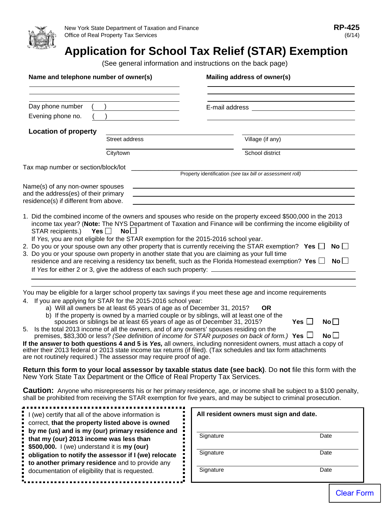

I (we) certify that all of the above information is correct, **that the property listed above is owned by me (us) and is my (our) primary residence and** 

**that my (our) 2013 income was less than \$500,000.** I (we) understand it is **my (our)**

**obligation to notify the assessor if I (we) relocate to another primary residence** and to provide any documentation of eligibility that is requested.

## **Application for School Tax Relief (STAR) Exemption**

(See general information and instructions on the back page)

| Name and telephone number of owner(s)                                                                             | Mailing address of owner(s)                                                                                                                                                                                                                                                                                                                                                                                                                                                                                     |
|-------------------------------------------------------------------------------------------------------------------|-----------------------------------------------------------------------------------------------------------------------------------------------------------------------------------------------------------------------------------------------------------------------------------------------------------------------------------------------------------------------------------------------------------------------------------------------------------------------------------------------------------------|
| Day phone number                                                                                                  |                                                                                                                                                                                                                                                                                                                                                                                                                                                                                                                 |
| Evening phone no.                                                                                                 | <u> 1989 - Andrea Aonaich an t-Aonaich an t-Aonaich an t-Aonaich an t-Aonaich an t-Aonaich an t-Aonaich an t-Aon</u>                                                                                                                                                                                                                                                                                                                                                                                            |
| <b>Location of property</b>                                                                                       |                                                                                                                                                                                                                                                                                                                                                                                                                                                                                                                 |
| Street address                                                                                                    | Village (if any)                                                                                                                                                                                                                                                                                                                                                                                                                                                                                                |
| City/town                                                                                                         | School district                                                                                                                                                                                                                                                                                                                                                                                                                                                                                                 |
| Tax map number or section/block/lot                                                                               |                                                                                                                                                                                                                                                                                                                                                                                                                                                                                                                 |
|                                                                                                                   | Property identification (see tax bill or assessment roll)                                                                                                                                                                                                                                                                                                                                                                                                                                                       |
| Name(s) of any non-owner spouses<br>and the address(es) of their primary<br>residence(s) if different from above. | and the control of the control of the control of the control of the control of the control of the control of the<br><u> 1989 - Johann Barnett, fransk politiker (d. 1989)</u><br>1. Did the combined income of the owners and spouses who reside on the property exceed \$500,000 in the 2013                                                                                                                                                                                                                   |
| STAR recipients.)<br>Yes $\Box$<br>$No \Box$                                                                      | income tax year? (Note: The NYS Department of Taxation and Finance will be confirming the income eligibility of<br>If Yes, you are not eligible for the STAR exemption for the 2015-2016 school year.<br>2. Do you or your spouse own any other property that is currently receiving the STAR exemption? Yes $\square$<br>No $\Box$                                                                                                                                                                             |
|                                                                                                                   | 3. Do you or your spouse own property in another state that you are claiming as your full time<br>residence and are receiving a residency tax benefit, such as the Florida Homestead exemption? Yes $\Box$ No $\Box$                                                                                                                                                                                                                                                                                            |
| If Yes for either 2 or 3, give the address of each such property: ______________                                  |                                                                                                                                                                                                                                                                                                                                                                                                                                                                                                                 |
|                                                                                                                   |                                                                                                                                                                                                                                                                                                                                                                                                                                                                                                                 |
|                                                                                                                   | You may be eligible for a larger school property tax savings if you meet these age and income requirements                                                                                                                                                                                                                                                                                                                                                                                                      |
| 4. If you are applying for STAR for the 2015-2016 school year:                                                    | a) Will all owners be at least 65 years of age as of December 31, 2015?<br>OR.<br>b) If the property is owned by a married couple or by siblings, will at least one of the<br>No <sub>1</sub><br>spouses or siblings be at least 65 years of age as of December 31, 2015?<br>Yes $\Box$<br>5. Is the total 2013 income of all the owners, and of any owners' spouses residing on the<br>No <sub>1</sub><br>premises, \$83,300 or less? (See definition of income for STAR purposes on back of form.) Yes $\Box$ |
|                                                                                                                   | If the answer to both questions 4 and 5 is Yes, all owners, including nonresident owners, must attach a copy of                                                                                                                                                                                                                                                                                                                                                                                                 |
| are not routinely required.) The assessor may require proof of age.                                               | either their 2013 federal or 2013 state income tax returns (if filed). (Tax schedules and tax form attachments                                                                                                                                                                                                                                                                                                                                                                                                  |
| New York State Tax Department or the Office of Real Property Tax Services.                                        | Return this form to your local assessor by taxable status date (see back). Do not file this form with the                                                                                                                                                                                                                                                                                                                                                                                                       |
|                                                                                                                   | <b>Caution:</b> Anyone who misrepresents his or her primary residence, age, or income shall be subject to a \$100 penalty,<br>shall be prohibited from receiving the STAR exemption for five years, and may be subject to criminal prosecution.                                                                                                                                                                                                                                                                 |

**All resident owners must sign and date.**

Signature Date

Signature Date

Signature Date